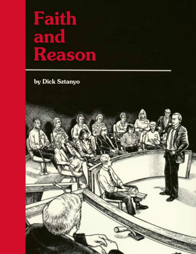# Faith and<br>Reason

by Dick Sztanyo

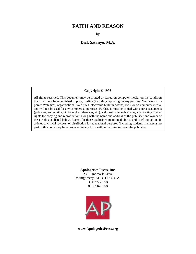# **FAITH AND REASON**

by

# **Dick Sztanyo, M.A.**

#### **Copyright © 1996**

All rights reserved. This document may be printed or stored on computer media, on the condition that it will not be republished in print, on-line (including reposting on any personal Web sites, corporate Web sites, organizational Web sites, electronic bulletin boards, etc.), or on computer media, and will not be used for any commercial purposes. Further, it must be copied with source statements (publisher, author, title, bibliographic references, etc.), and must include this paragraph granting limited rights for copying and reproduction, along with the name and address of the publisher and owner of these rights, as listed below. Except for those exclusions mentioned above, and brief quotations in articles or critical reviews, or distribution for educational purposes (including students in classes), no part of this book may be reproduced in any form without permission from the publisher.

## **Apologetics Press, Inc.**

230 Landmark Drive Montgomery, AL 36117 U.S.A. 334/272-8558 800/234-8558



**www.ApologeticsPress.org**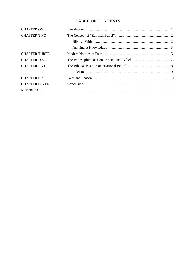# **TABLE OF CONTENTS**

| <b>CHAPTER ONE</b>   |  |
|----------------------|--|
| <b>CHAPTER TWO</b>   |  |
|                      |  |
|                      |  |
| <b>CHAPTER THREE</b> |  |
| <b>CHAPTER FOUR</b>  |  |
| <b>CHAPTER FIVE</b>  |  |
|                      |  |
| <b>CHAPTER SIX</b>   |  |
| <b>CHAPTER SEVEN</b> |  |
| <b>REFERENCES</b>    |  |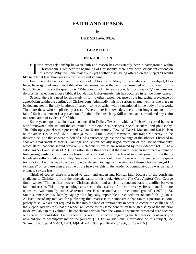# **FAITH AND REASON**

by

# **Dick Sztanyo, M.A.**

# **CHAPTER 1**

### **INTRODUCTION**

The exact relationship between faith and reason has consistently been a battleground within<br>Christendom. From near the beginning of Christianity, there have been serious reflections on<br>this topic. Why then, one may ask, is Christendom. From near the beginning of Christianity, there have been serious reflections on this topic. Why then, one may ask, is yet another essay being offered on the subject? I would like to offer at least three reasons for the present volume.

First, there always is a need for a study of **biblical** faith. Many of the studies on this subject, I believe, have ignored important biblical evidence—evidence that will be presented and discussed in this book. Since ultimately the question is, "What does the Bible teach about faith and reason?," one must not divorce his reflections from a biblical foundation. Unfortunately, this has occurred in far too many cases.

Second, there is a need for this study, if for no other reason, because of the increasing prevalence of agnosticism within the confines of Christendom. Admittedly, this is a serious charge, yet it is one that can be documented in literally hundreds of cases—some of which will be mentioned in the body of this work. There are those who simplistically assert, "Where there is knowledge, there is no longer any room for faith." Such a statement is a perversion of plain biblical teaching. Still others have surrendered any claim to a foundation of evidence for faith.

Some years ago, a seminar was conducted in Dallas, Texas, in which a "debate" occurred between world-renowned atheists and theists trained in the empirical sciences, social sciences, and philosophy. The philosophy panel was represented by Paul Kurtz, Antony Flew, Wallace I. Matson, and Kai Nielsen on the atheists' side, and Alvin Plantinga, W.P. Alston, George Mavrodes, and Ralph McInerny on the theists' side. The theists were to defend God's existence against the challenge of the atheists. I listened in shocked amazement as theists Plantinga and Alston actually urged rejection of the law of rationality, which states that "one should draw only such conclusions as are warranted by the evidence" (cf. 1 Thessalonians 5:21 and Isaiah 41:21). The astonishing thing was that these men spent an inordinate amount of time **giving evidence** for their conclusion that one should reject the law of rationality—a position that is hopelessly self-contradictory. They "reasoned" that one should reject reason with reference to the question of God! And this was how they hoped to defend God against the attacks of those who challenged His existence? Since these men are some of the heavyweights in the academic community, this was disheartening, to say the least.

Third, of course, there is a need to study and understand biblical faith because of the consistent challenge to Christianity from the atheistic camp. In his book, *Atheism: The Case Against God*, George Smith wrote: "The conflict between Christian theism and atheism is fundamentally a conflict between faith and reason. This, in epistemological terms, is the essence of the controversy. Reason and faith are opposites, two mutually exclusive terms: there is no reconciliation or common ground" (1979, p. 5). Smith summarized his claim by saying: "It is logically impossible to reconcile reason and faith" (p. 101). At least one of my motives for publishing this treatise is to demonstrate that Smith's position is completely false. We are not required to flee into the land of irrationality in order to escape the challenge of the skeptic. My desire is that the reader will come to this same conclusion through a study of the material made available in this volume. The conclusions drawn from the various arguments presented here become our shared responsibility. I am traveling the road of reflection regarding the faith/reason controversy; I now bid you to accompany me on the journey. [NOTE: For additional information on this subject, see Sztanyo, 1983, pp. 472-483; 1983, 14[4]:41-44; 1985, pp. 164-171; 1986, pp. 197-216.]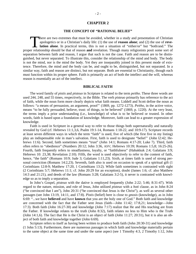#### **THE CONCEPT OF "RATIONAL BELIEF"**

There are two extremes that must be avoided, whether in a study and presentation of Christian apologetics or in a Christian's daily life: (1) the use of **reason alone**; and (2) the use of **revelation alone**. In practical t apologetics or in a Christian's daily life: (1) the use of **reason alone**; and (2) the use of **revelation alone**. In practical terms, this is not a situation of "either/or" but "both/and." The proper relationship should be that of reason **and** revelation. Though many religionists posit some sort of separation between faith and reason, I argue that such is not the case. Faith and reason are to be distinguished, but never separated. To illustrate this, consider the relationship of the mind and body. The body is not the mind, nor is the mind the body. Yet they are inseparably joined in this present mode of existence. Therefore, the mind and the body can be, and ought to be, distinguished, but not separated. In a similar way, faith and reason are distinct, but not separate. Both are essential to Christianity, though each must function within its proper sphere. Faith is primarily an act of both the intellect and the will, whereas reason is essentially an act of the intellect.

#### **BIBLICAL FAITH**

The word family of *pistis* and *pisteuo* in Scripture is related to the term *peitho*. These three words are used 244, 248, and 55 times, respectively, in the Bible. The verb *pisteuo* primarily has reference to the act of faith, while the noun form more clearly depicts what faith means. Liddell and Scott define the noun as follows: "a means of persuasion, an argument, proof " (1869, pp. 1272-1273). *Peitho*, in the active voice, means "to be fully persuaded, believe, trust: of things, to be believed" (1869, p. 1220). At the very least, the terms imply a prior understanding (i.e., knowledge) of what is to be believed or trusted. In other words, faith is based upon a foundation of knowledge. Moreover, faith can lead to a greater expression of knowledge.

Faith is used in Scripture in a general way to refer to those things both supernaturally and naturally revealed by God (cf. Hebrews 11:1,3,6, Psalm 19:1-14, Romans 1:18-22, and 10:9-17). Scripture records at least seven different ways in which the term "faith" is used, five of which (the first five in my listing) play an indispensable role in man's salvation. First, faith is used to designate "belief " (John l2:42; Hebrews 11:6). Second, faith sometimes means "trust" (John 14:1; Romans 4:17-20; Luke 7). Third, faith often refers to "obedience" (Numbers 20:12; John 3:36, ASV; Hebrews 10:39; Romans 1:5,8; 16:25-26). Fourth, faith frequently refers to steadfastness, loyalty, or "faithfulness" (Habakkuk 2:4; Galatians 3:9; Hebrews 10: 23,38; Revelation 2:10). Fifth, the word is used objectively to refer to the content of faith, hence, "the faith" (Romans 10:9; Jude 3; Galatians 1:11,23). Sixth, at times faith is used of strong personal conviction (Romans 14:2,23). Seventh, faith also is used on occasion to speak of a spiritual gift (1 Corinthians 12:8-9; Matthew 17:20, 1 Corinthians 13:2). While faith sometimes is contrasted with sight (2 Corinthians 5:7; Hebrews 11:1; cf. John 20:29 for an exception), doubt (James 1:6; cf. also Matthew 14:3 and 21:21), and deeds of the law (Romans 3:28; Galatians 3:2-5), it never is contrasted with knowledge so as to imply a separation.

In John's Gospel, *pisteuo* with the dative is employed frequently (John 2:22; 5:46; 8:31-47). With regard to the nature, mission, and role of Jesus, John utilized *pisteuo* with a *hoti* clause, as in John 8:24 ("be convinced that I am"), John 20:31 ("be convinced that Jesus is the Christ"), as well as several other passages (see John 13:19, 14:11, and 17:8). *Pistis* (belief) here is close to *gnosis* (knowledge), as in John 6:69: "...we have **believed** and have **known** that you are the holy one of God." Both faith and knowledge are concerned with the fact that the Father sent Jesus (faith—John 11:42; 17:8,21; knowledge—John 17:3). Both faith (John 16:27-30) and knowledge (John 7:17) realize that He and His teaching are from the Father. If knowledge relates to the truth (John 8:32), faith relates no less to Him who is the Truth (John 14:1,6). The fact that He is the Christ is an object of faith (John 11:27; 20:31), but it is also an object of both faith and knowledge together (John 6:69).

Scripture refers to itself as having been written to produce both faith (John 20:30-31) and knowledge (1 John 5:13). Furthermore, there are numerous passages in which faith and knowledge materially pertain to the same object at the same time and under the same aspect (see 1 Timothy 4:3, 2 Timothy 1:12, John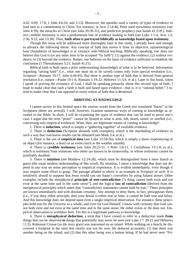4:42, 6:69, 17:8, 1 John 4:6,16, and 5:13). Moreover, the apostles used a variety of types of evidence to lead men to a commitment to Christ. For instance, in Acts 2:14-40, Peter used eyewitness testimony (see John 4:39), the miracles of Christ (see John 20:30-31), and predictive prophecy (see Isaiah 41:21ff.). Indirect credible testimony is also a predominant line of evidence leading to faith (see Luke 1:1-4, Acts 1:3, 2.36, 9:22, and 13:38). Thus, **faith often is portrayed biblically as knowledge based upon testimony**.

Though this issue will be addressed more thoroughly later in this study, I already have said enough to advance the following thesis: Any concept of faith that severs it from its objective, epistemological base (foundation of knowledge) is at variance with biblical teaching. Biblically speaking, one does not believe that God is (or any other item to be accepted "by faith"): (1) against the evidence; (2) without evidence; or (3) beyond the evidence. Rather, one believes on the basis of evidence sufficient to establish the conclusion (1 Thessalonians 5:21; Isaiah 41:21).

Biblical faith is built upon a prior understanding (knowledge) of what is to be believed. Information regarding "saving faith" (i.e., what one must do to be saved) comes only from special revelation (i.e., Scripture—Romans 10:17; John 6:44-45). But there is another type of faith that is derived from general revelation (i.e., nature—Psalm 19:1-6; Romans 1:19-22; Hebrews 11:3,6; et al.). Later in this book, when I speak of proving the existence of God, I shall be speaking primarily about this second type of faith. I hope to make clear that such a faith is built and based upon evidence—that is, it is "rational belief." I intend to make clear that I am opposed to every notion of faith that is **ir**rational.

#### **ARRIVING AT KNOWLEDGE**

I cannot survey in this limited space the various words from the Greek text translated "know" in the Scriptures (there are several). I will, however, examine numerous ways of coming to knowledge as revealed in the Bible. In short, I will be examining the types of evidence that can be used to prove one's case. I argue that the term "proof" cannot be limited to what is seen, felt, heard, tasted, or smelled (i.e., concerning only empirical evidence). What, then, are legitimate means of coming to knowledge?

1. There is **induction**, which is simply a "gathering together" of available evidence.

2. There is **deduction** (Scripture abounds with examples), which is the marshaling of evidence in such a way that conclusive results can be obtained (see Mark 3:4, et al.).

3. There is the use of **empirical data** (see Luke 12:54-56), which is simply a direct experiencing of an object (for instance, a door) or an event (such as the weather outside).

4. There is **credible testimony** (see John 20:25-31, 1 Peter 1:8-11, 1 Corinthians 15:1-8, et al.), which is testimony from witnesses who either are known to be trustworthy, or whose testimony cannot be justifiably doubted.

5. There is **intuition** (see Matthew 12:24-28), which must be distinguished from a mere hunch or guess (the usual modern understanding of this word). By intuition, I mean a knowledge that does not depend in any way on sense perception or empirical experience. It is evident immediately, even though it may require some effort to grasp. The passage alluded to above is an example in Scripture of such. It is intuitively absurd to suppose that Jesus would cast out Satan's coworkers by using Satanic power. Other examples include the metaphysical **principle of non-contradiction** ("a thing cannot both exist and not exist at the same time and in the same sense"), and the logical **law of contradiction** (derived from the metaphysical principle) which states that "contradictory statements cannot both be true." These principles are known immediately and with absolute certainty. Any attempt to deny them, in fact, presupposes them (i.e., if you deny either principle, then your denial is either true or false; it cannot be both true and false). And this knowledge does not depend upon even a single empirical observation. For instance, these principles hold true for the Universe as a whole, and even for God Himself. I know with certainty that God cannot both exist and not exist at the same time and in the same sense. He either exists or He does not. Empirical observation is worthless here. Yet this is a legitimate pathway to knowledge.

6. There is **metaphysical deduction**, a term that I have coined to refer to a deduction made **from**  things that can be observed **to** things that potentially may never be seen (see Luke 17: 20-21 and Hebrews 11:3). Robinson Crusoe (so the story goes) was marooned on an island. While walking on a beach, he discovered a footprint in the sand that clearly was not his own. He deduced accurately: (1) that there was another being on the island; and (2) that this other being was a human being. If he had never seen "Fri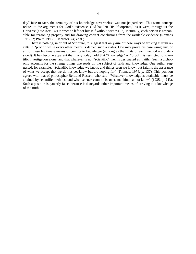day" face to face, the certainty of his knowledge nevertheless was not jeopardized. This same concept relates to the arguments for God's existence. God has left His "footprints," as it were, throughout the Universe (note Acts 14:17: "Yet he left not himself without witness..."). Naturally, each person is responsible for reasoning properly and for drawing correct conclusions from the available evidence (Romans 1:19-22; Psalm 19:1-6; Hebrews 3:4; et al.).

There is nothing, in or out of Scripture, to suggest that only **one** of these ways of arriving at truth results in "proof," while every other means is denied such a status. One may prove his case using any, or all, of these legitimate means of coming to knowledge (so long as the limits of each method are understood). It has become apparent that many today hold that "knowledge" or "proof" is restricted to scientific investigation alone, and that whatever is not "scientific" then is designated as "faith." Such a dichotomy accounts for the strange things one reads on the subject of faith and knowledge. One author suggested, for example: "Scientific knowledge we know, and things seen we know, but faith is the assurance of what we accept that we do not yet know but are hoping for" (Thomas, 1974, p. 137). This position agrees with that of philosopher Bertrand Russell, who said: "Whatever knowledge is attainable, must be attained by scientific methods; and what science cannot discover, mankind cannot know" (1935, p. 243). Such a position is patently false, because it disregards other important means of arriving at a knowledge of the truth.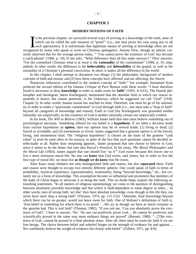#### **MODERN NOTIONS OF FAITH**

In the previous chapter, we surveyed several ways of arriving at a knowledge of the truth, none of which can be called the sole measure of "proof" (i.e., one may prove his case using any or all such approaches). It is unfo n the previous chapter, we surveyed several ways of arriving at a knowledge of the truth, none of which can be called the sole measure of "proof" (i.e., one may prove his case using any or all such approaches). It is unfortunate that legitimate means of arriving at knowledge often are not rectly observed that for the average person today, " ' You cannot prove the existence of God' has become a catch-phrase" (1966, p. 19). If one asks, "What difference does all this make anyway?," Flew answers: "For the committed Christian what is at issue is the **rationality** of the commitment" (1966, p. 19, emp. added). In other words, the difference is the **believability** and **defensibility** of the gospel, as well as the rationality of a Christian's personal convictions. In short, it makes all the difference in the world.

In this chapter, I shall attempt to document two things: (1) the philosophic background of modern concepts of faith and reason; and (2) how these concepts have affected, and are affecting, the church.

Numerous influences contributed to the modern concept of "faith." For example, Immanuel Kant prefaced the second edition of his famous *Critique of Pure Reason* with these words: "I have therefore found it necessary to deny **knowledge** in order to make room for **faith**" (1965, B:XXX). The Danish philosopher and theologian, Søren Kierkegaard, maintained that the absolute limit to which our reason repeatedly is drawn, but cannot penetrate, is the Unknown, which he suggested we call "God" (1936, Chapter 2). In other words, human reason has reached its limit. Therefore, one must let go of his rationality in order to make a "passionate commitment" to God through faith (i.e., one must take a "leap of faith" beyond all categories of knowledge and reason). Faith in God (for Kierkegaard) was grounded neither rationally nor empirically; so the existence of God is neither rationally certain nor empirically evident.

In his book, *The Will to Believe* (1903), William James held that men must believe something out of psychological necessity. Something offered for our belief is a **hypothesis**. If we label a decision made from various hypotheses an **option**, then our options may be of several kinds: (1) living or dead; (2) forced or avoidable; and (3) momentous or trivial. James suggested that a genuine option is of the forced, living, and momentous kind. The "religious hypothesis" is chosen on the basis of the greatest "cash value" (a term he used often in his essays), in spite of the fact that such questions cannot be decided intellectually at all. Rather than remaining agnostic, James proposed that one choose to believe in God, since it seems to be the better risk (see also Pascal's *Pensées*). In his essay, *The Moral Philosopher and the Moral Life* (1903), James argued that one should live "as if" God exists because this forces one to live a more strenuous moral life. No one can **know** that God exists, said James, but in order to live the best type of moral life, we must live **as though we do know** that He exists.

After Kant, many thinkers not only distinguished faith and reason, but also **separated** them. Faith and reason were thought to occupy two entirely different spheres. One could speak of faith in terms of probability, mystical experience, suprarationality, irrationality, being "beyond knowledge," etc., but certainly not as a form of knowledge. This assumption became so influential and prominent that members of the body of Christ began to advocate it as being the truth. This no doubt helps explain the following astonishing statements. "In all matters of religious epistemology we come to the question of distinguishing between absolutely provable knowledge and that which is faith-dependent to some degree or other.... In other words, men of strong faith 'act like' they have absolute knowledge, even though in this life they can never have more than a strong faith" (Thomas, 1974, pp. 131-132). "Absolute, final knowledge beyond which there can be no greater, would not leave room for faith. One of Webster's definitions of faith is, 'firm belief in something for which there is no proof.' ...We act as though we have as much certainty as the apostles had. This is real faith" (Thomas, 1982). "If you ask me, 'Can you absolutely prove the existence of God?,' I have to answer, 'No.' No one can positively prove God.... He cannot be positively and scientifically proved in the same way more ordinary things are proved" (Barnett, 1980). "...[T]he existence of God...cannot be proved in a final absolute sense. After all, there must be room for faith if we are free beings. The choice between belief and unbelief hinges on the strength of evidence for and against.... We confidently believe the weight of evidence lies firmly with belief" (Gilbert, 1971, pp. 8-9).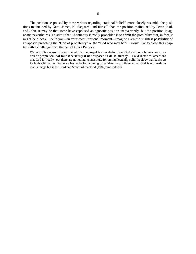The positions espoused by these writers regarding "rational belief" more closely resemble the positions maintained by Kant, James, Kierkegaard, and Russell than the position maintained by Peter, Paul, and John. It may be that some have espoused an agnostic position inadvertently, but the position is agnostic nevertheless. To admit that Christianity is "only probable" is to admit the possibility that, in fact, it might be a hoax! Could you—in your most irrational moment—imagine even the slightest possibility of an apostle preaching the "God of probability" or the "God who may be"? I would like to close this chapter with a challenge from the pen of Clark Pinnock:

We must give reasons for our belief that the gospel is a revelation from God and not a human construction or **people will not take it seriously if not disposed to do so already**.... Loud rhetorical assertions that God is "really" out there are not going to substitute for an intellectually solid theology that backs up its faith with works. Evidence has to be forthcoming to validate the confidence that God is not made in man's image but is the Lord and Savior of mankind (1982, emp. added).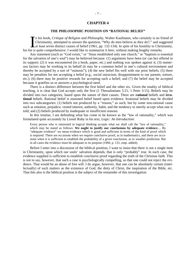## **THE PHILOSOPHIC POSITION ON "RATIONAL BELIEF"**

In his book, *Critique of Religion and Philosophy*, Walter Kaufmann, who certainly is no friend thristianity, attempted to answer the question, "Why do men believe as they do?," and suge at least seven distinct causes of b n his book, *Critique of Religion and Philosophy*, Walter Kaufmann, who certainly is no friend of Christianity, attempted to answer the question, "Why do men believe as they do?," and suggested at least seven distinct causes of belief (1961, pp. 132-134). In spite of his hostility to Christianity,

Any statement (such as "God exists," or "Jesus established only one church," or "baptism is essential for the salvation of one's soul") may be believed because: (1) arguments have been (or can be) offered in its support; (2) it was encountered (in a book, paper, etc.) and nothing was spoken against it; (3) numerous factors may be working in its behalf (it may be a common belief in one's cultural environment and thereby be accepted by a sort of "osmosis"); (4) the new belief fits well with our prior beliefs; (5) there may be penalties for not accepting a belief (e.g., social ostracism, disappointment to our parents, torture, etc.); (6) there may be positive rewards for accepting such a belief; and (7) the belief may be accepted because it gratifies us or answers a psychological need.

There is a distinct difference between the first belief and the other six. Given the totality of biblical teaching, it is clear that God accepts only the first (1 Thessalonians 5:21; 1 Peter 3:15). Beliefs may be divided into two categories, based upon the nature of their causes. There are **rational** beliefs and **irrational** beliefs. Rational belief is reasoned belief based upon evidence. Irrational beliefs may be divided into two subcategories: (1) beliefs not produced by a "reason," as such, but by some non-rational cause such as emotion, prejudice, vested interest, authority, habit, and the tendency to merely accept what one is told; and (2) beliefs produced by inadequate or insufficient reasons.

In this treatise, I am defending what has come to be known as the "law of rationality," which was formulated quite accurately by Lionel Ruby in his text, *Logic: An Introduction*:

Every person who is interested in logical thinking accepts what we shall call the "law of rationality," which may be stated as follows: **We ought to justify our conclusions by adequate evidence**.... By "adequate evidence" we mean evidence which is good and sufficient in terms of the kind of proof which is required. There are occasions when we require conclusive proof, as in mathematics, and there are occasions when it is sufficient to establish the probability of a given conclusion, as in weather prediction. But in all cases the evidence must be adequate to its purpose (1960, p. 131, emp. added).

Before I enter into a discussion of the biblical position, I want to insist that there is not a single item in Christianity, upon which our souls' salvation depends, that is only "probably" true. In each case, the evidence supplied is sufficient to establish conclusive proof regarding the truth of the Christian faith. This is not to say, however, that such a case is psychologically compelling, so that one could not reject the evidence. That would be an abuse of free will. I do argue, however, that one can be absolutely certain (intellectually) of such matters as the existence of God, the deity of Christ, the inspiration of the Bible, etc. That this also is the biblical position is the subject of the remainder of this investigation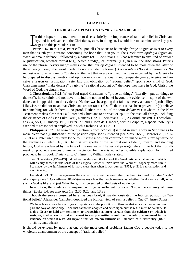### **THE BIBLICAL POSITION ON "RATIONAL BELIEF"**

 $\prod_{PQ}$ n this chapter, it is my intention to discuss briefly the importance of rational belief in Christianity, and its relevance to the Christian system. In doing so, I would like to examine some key passages on this particular issue.

**1 Peter 3:15**. In this text, Peter calls upon all Christians to be "ready always to give answer to every man that asketh you a reason concerning the hope that is in you." The Greek term *apologia* ("give answer" or "make defense") followed by a dative (cf. 1 Corinthians 9:3) has reference to any kind of answer or justification, whether formal (e.g., before a judge), or informal (e.g., in a routine discussion). Peter's use of the phrase, "every man," makes clear that our *apologia* is intended to be most often the latter of these two (although that would certainly not exclude the former). *Logon aitein* ("to ask a reason" or "to request a rational account of") refers to the fact that every civilized man was expected by the Greeks to be prepared to discuss questions of opinion or conduct rationally and temperately—i.e., to give and receive a reason or justification. Peter laid this obligation of "rational belief" upon every child of God. Christians must "make defense" by giving "a rational account of" the hope they have in God, Christ, the Word of God, the church, etc.

**1 Thessalonians 5:21**. When Paul urged Christians to "prove all things" (literally, "put all things to the test"), he certainly did not have in mind the notion of belief beyond the evidence, in spite of the evidence, or in opposition to the evidence. Neither was he arguing that faith is merely a matter of probability. Likewise, he did not mean that Christians are to: (a) act "as if " their case has been proved; or (b) believe in something for which there is no proof. Rather, the use of the term *dokimazo* elsewhere in the New Testament makes clear that Paul intended Christians to "prove" or "put to the test" **all things**, including the existence of God (see Luke 14:19, Romans 12:2, 1 Corinthians 16:3, 2 Corinthians 8:8, 1 Thessalonians 2:4, 5:21, 1 Timothy 3:10, 1 Peter 1:7, and 1 John 4:1). Indeed, within Scripture, a special nobility is ascribed to reason when employed in such a fashion (Acts 17:11).

**Philippians 1:7**. The term "confirmation" (from *bebaiosis*) is used in such a way in Scripture as to make clear that a **justification** of the position espoused is intended (see Mark 16:20, Hebrews 2:3, 6:16- 17, et al.). Peter used this term twice to illustrate a position confirmed or "made more sure" by virtue of the evidence (2 Peter 1:10,19). The first text speaks of the fact that one's fidelity toward, and standing before, God is evidenced by the type of life one leads. The second passage refers to the fact that fulfillment of prophecy evinces divine omniscience, for there is no other possible explanation for fulfilled prophecy. In his book, *Evidences of Christianity*, William Paley stated:

...our Translators [KJV—DS] did not well understand the force of the Greek article; an attention to which will clearly show the true sense of the Original, which is, "We have the Word of Prophecy more sure;" i.e. made, by the **fulfillment** of it, more clear than when it was uttered (1952, p. 218, capitalization and emp. in orig.).

**Isaiah 41:21**. This passage—in the context of a test between the one true God and the false "gods" of antiquity (see 1 Corinthians 10:4-6)—makes clear that such matters as whether God exists at all, what such a God is like, and just Who He is, must be settled on the basis of evidence.

In addition, the evidence of inspired writings is sufficient for us to "know the certainty of those things" (Luke 1:4; see also Acts 1:3, 2:36, 9:22, and 13:38).

Though the survey presented here has been brief, it has demonstrated the biblical position on "rational belief." Alexander Campbell described the biblical view of such a belief in *The Christian Baptist*:

We have learned one lesson of great importance in the pursuit of truth—one that acts as a pioneer to prepare the way of knowledge—one that cannot be adopted and acted upon but the result must be salutary. It is this: **Never to hold any sentiment or proposition as more certain than the evidence on which it rests;** or, in other words, **that our assent to any proposition should be precisely proportioned to the evidence** on which it rests. **All beyond this we esteem enthusiasm**—all short of it incredulity (1827, 1:viii-ix, emp. added).

It should be evident by now that one of the most crucial problems facing God's people today is the wholesale abandonment of the concept of "rational belief."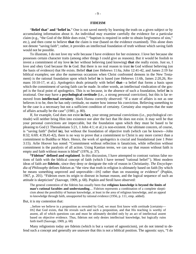#### **FIDEISM**

"**Belief that**" **and** "**belief in.**" One is not saved merely by learning the truth on a given subject or by accumulating information about it. An individual may examine carefully the evidence for a particular claim (e.g., "the God of the Bible does exist," "baptism is required in order to obtain forgiveness of sins," etc.), and then come to believe **that** the claim is true (based on the evidence examined). This alone does not denote "saving faith"; rather, it provides an intellectual foundation of truth without which saving faith would not be possible.

To illustrate, I do not love my wife because I have evidence for her existence. I love her because she possesses certain character traits (among other things I could give as reasons). But it would be foolish to invest a commitment of my love **in** her without believing (and knowing) **that** she really exists. Just so, I love and obey God because He **is** God. But there is no real reason to trust **in** God without believing (on the basis of evidence) that He exists. Belief **that** (see Hebrews 11:6a, John 12:41-42, and James 2:19 for biblical examples; see also the numerous occasions when Christ confronted demons in the New Testament) is the rational foundation upon which belief **in** is based (see Hebrews 11:6b, James 2:20,26, Romans 10:10-17, et al.). Apologetics deals primarily with belief **that**—a belief that forms a basis upon which the commitment of saving faith can be made. In other words, an intellectual vindication of the gospel is the focal point of apologetics. This is so because, in the absence of such a foundation, belief **in** is irrational. One may have a **psychological certitude** (i.e., a strong personal conviction), but this is far removed from **intellectual certainty**. Mark Hanna correctly observed: "If a state of affairs is not as one believes it to be, then he has only certitude, no matter how intense his conviction. Believing something to be the case is a necessary but not a sufficient condition of certainty. Certainty also requires that the state of affairs actually be the case" (1981, p. 80).

If, for example, God does not exist **in fact**, your strong personal convictions (i.e., psychological certitude) will neither bring Him into existence nor alter the fact that He does not exist. It may well be that your personal convictions are impeccable, but the foundation upon which they must be based to be pleasing to God (1 Thessalonians 5:21, 1 John 4:1; et al.) is non-existent. Our ultimate concern, of course, is "saving faith" (belief **in**), but without the foundation of objective truth (which can be known—John 8:32; 6:69; 4:39,41-42), there is no way to prove that a commitment to Christ is any more correct than a commitment to Buddha or Marx. Hence, the work of apologetics is crucial and foundational (see 1 Peter 3:15). Arlie Hoover has noted: "Commitment without reflection is fanaticism, while reflection without commitment is the paralysis of all action. Using Kantian terms, we can say that reason without faith is empty and faith without reason is blind" (1976, p. 37).

**"Fideism" defined and explained**. In this discussion, I have attempted to contrast various false notions of faith with the biblical concept of faith (which I have termed "rational belief"). Most modern ideas of faith are **fideistic**, since they deny or denigrate the role of reason in Christianity. *The Encyclopedia of Philosophy* defines fideism as "the view that truth in religion is ultimately based on faith [by which he means something unproved and unprovable—DS] rather than on reasoning or evidence" (Popkin, 1967, p. 201). "Fideism owes its origin to distrust in human reason, and the logical sequence of such an attitude is skepticism" (Sauvage, 1909, p. 68). Popkin and Stroll have observed:

The general contention of the fideists has usually been that **religious knowledge is beyond the limits of man's rational faculties and understanding**.... Fideism represents a combination of a complete skepticism about the possibility of human knowledge, at least in the area of religious knowledge, and an appeal to knowledge through faith, unsupported by rational evidence (1956, p. 111, emp. added).

But, it is my contention that:

...before we believe in a proposition as revealed by God, we must first know with certitude [certainty— DS] that God exists, that He reveals such and such a proposition, and that His teaching is worthy of assent, all of which questions can and must be ultimately decided only by an act of intellectual assent based on objective evidence. Thus, fideism not only denies intellectual knowledge, but logically ruins faith itself (Sauvage, 1909, p. 68)

Many religionists today are fideists (which is but a variant of agnosticism), yet do not intend to defend such a concept and generally are unaware that this is not a biblical position. The agnostic says, "I do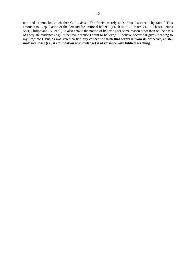not, and cannot, know whether God exists." The fideist merely adds, "but I accept it by faith." This amounts to a repudiation of the demand for "rational belief" (Isaiah 41:21, 1 Peter 3:15, 1 Thessalonians 5:21; Philippians 1:7; et al.). It also entails the notion of believing for some reason other than on the basis of adequate evidence (e.g., "I believe because I want to believe," "I believe because it gives meaning to my life," etc.). But, as was stated earlier, **any concept of faith that severs it from its objective, epistemological base (i.e., its foundation of knowledge) is at variance with biblical teaching.**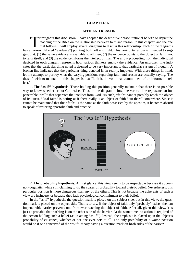### **FAITH AND REASON**

Interval this discussion, I have adopted the descriptive phrase "rational belief" to depict the teaching of the Bible on the relationship between faith and reason. In this chapter, and the one that follows, I will employ s teaching of the Bible on the relationship between faith and reason. In this chapter, and the one that follows, I will employ several diagrams to discuss this relationship. Each of the diagrams has an arrow (labeled "evidence") pointing both left and right. This horizontal arrow is intended to suggest that: (1) the same evidence is available to all men; (2) the evidence points to the **object** of faith, not to faith itself; and (3) the evidence informs the intellect of man. The arrow proceeding from the individual depicted in each diagram represents how various thinkers employ the evidence. An unbroken line indicates that the particular thing noted is deemed to be very important to that particular system of thought. A broken line indicates that the particular thing denoted is, in reality, impotent. With these things in mind, let me attempt to portray what the varying positions regarding faith and reason are actually saying. The thesis I wish to maintain in this chapter is that "faith is the volitional commitment of an informed intellect."

**1. The "as if " hypothesis**. Those holding this position generally maintain that there is no possible way to know whether or not God exists. Thus, in the diagram below, the vertical line represents an impenetrable "wall" that separates the intellect from God. As such, "faith" cannot possibly reach the object of its quest. "Real faith" is **acting as if** there really is an object of faith "out there" somewhere. Since it cannot be maintained that this "faith" is the same as the faith possessed by the apostles, it becomes absurd to speak of restoring apostolic faith and practice.



**2. The probability hypothesis**. At first glance, this view seems to be respectable because it appears non-dogmatic, while still claiming to tip the scales of probability toward theistic belief. Nevertheless, this particular position is more dangerous than any of the others. This is not because the adherents of such a view are insincere, or because they lack psychological commitment to their belief.

In the "as if" hypothesis, the question mark is placed on the subject side, but in this view, the question mark is placed on the object side. That is to say, if the object of faith only "probably" exists, then an impenetrable barrier prevents one from ever reaching the object of faith. After all, given this view, it is just as probable that **nothing** is on the other side of the barrier. At the same time, no action is required of the person holding such a belief (as in acting "as if " ). Instead, the emphasis is placed upon the object's probability of existence, whether or not one ever **acts** at all. The only possibility of a worse position would be if one conceived of the "as if " theory having a question mark on **both** sides of the barrier!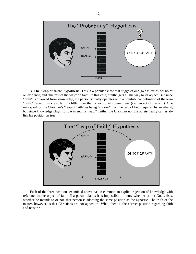

**3. The "leap of faith" hypothesis**. This is a popular view that suggests one go "as far as possible" on evidence, and "the rest of the way" on faith. In this case, "faith" gets all the way to its object. But since "faith" is divorced from knowledge, the person actually operates with a non-biblical definition of the term "faith." Given this view, faith is little more than a volitional commitment (i.e., an act of the will). One may speak of the Christian's "leap of faith" as being "shorter" than the leap of faith required by an atheist, but since knowledge plays no role in such a "leap," neither the Christian nor the atheist really can establish his position as true.



Each of the three positions examined above has in common an explicit rejection of knowledge with reference to the object of faith. If a person claims it is impossible to know whether or not God exists, whether he intends to or not, that person is adopting the same position as the agnostic. The truth of the matter, however, is that Christians are not agnostics! What, then, is the correct position regarding faith and reason?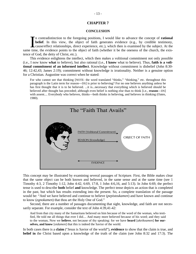#### **CONCLUSION**

In contradistinction to the foregoing positions, I would like to advance the concept of **rationa**<br>belief. In this view, the object of faith generates evidence (e.g., by credible testimony<br>cause/effect relationships, direct n contradistinction to the foregoing positions, I would like to advance the concept of **rational belief**. In this view, the object of faith generates evidence (e.g., by credible testimony, cause/effect relationships, direct experience, etc.), which then is examined by the subject. At the tence of God, the deity of Christ, etc.).

This evidence enlightens the intellect, which then makes a volitional commitment not only possible (i.e., I now know **what** to believe), but also rational (i.e., **I know** what to believe). Thus, **faith is a volitional commitment of an informed intellect**. Knowledge without commitment is disbelief (John 8:30- 46; 12:42,43; James 2:19); commitment without knowledge is irrationality. Neither is a genuine option for a Christian. Augustine was correct when he stated:

For who cannot see that thinking [NOTE: the word translated "thinks," "thinking," etc. throughout this paragraph is the Latin term for reason—DS] is prior to believing? For no one believes anything unless he has first thought that it is to be believed. ...it is...necessary that everything which is believed should be believed after thought has preceded; although even belief is nothing else than to think [i.e., **reason**—DS] with assent.... Everybody who believes, thinks—both thinks in believing, and believes in thinking (Oates, 1980).



This concept may be illustrated by examining several passages of Scripture. First, the Bible makes clear that the same object can be both known and believed, in the same sense and at the same time (see 1 Timothy 4:3, 2 Timothy 1:12, John 4:42, 6:69, 17:8, 1 John 4:6,16, and 5:13). In John 6:69, the perfect tense is used to describe **both** belief **and** knowledge. The perfect tense depicts an action that is completed in the past, but which has results extending into the present. So, a complete translation of the passage would be: "And we have believed and continue to believe (*pepisteukamen*) and have known and continue to know (*egnokamen*) that thou art the Holy One of God."

Second, there are a number of passages documenting that sight, knowledge, and faith are not necessarily separate. For example, consider the text of John 4:39,41-42:

And from that city many of the Samaritans believed on him because of the word of the woman, who testified, He told me all things that ever I did.... And many more believed because of his word; and they said to the woman, Now we **believe**, not because of thy speaking: for we have **heard** [*akeikoamen*] **for ourselves, and know** [*oidamen*] that this is indeed the Savior of the world.

In both cases there is a **claim** ("Jesus is Savior of the world"), **evidence** to show that the claim is true, and **belief in** the Christ based upon a knowledge of the truth of the claim (see John 8:32 and 17:3). The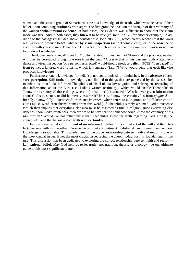woman and the second group of Samaritans came to a knowledge of the truth, which was the basis of their belief, upon conjoining **testimony** with **sight**. The first group believed on the strength of the **testimony** of the woman **without visual evidence**. In both cases, the evidence was sufficient to show that the claim made was true. And in both cases, they **knew** it to be true (cf. John 2:21-22 for another example). In addition to the passages discussed above, consider also John 20:26-31, which clearly teaches that the word was written to produce **belief**, whether by **visual inspection** (as in Thomas' case), or in the **absence** of such (as with you and me). Then recall 1 John 5:13, which indicates that the same word was also written to produce **knowledge**.

Third, one needs to recall Luke 16:31, which states: "If they hear not Moses and the prophets, neither will they be persuaded, though one rose from the dead." Observe that in this passage, both written evidence and visual inspection (of a person resurrected) would/should produce **belief.** [NOTE: "persuaded" is from *peitho*, a kindred word to *pistis*, which is translated "faith."] Who would deny that each likewise produces **knowledge**?

Furthermore, one's knowledge (or belief) is not compromised, or diminished, in the **absence of sensory perception**. Still further, knowledge is not limited to things that are perceived by the senses. Remember also that Luke informed Theophilus of his (Luke's) investigation and subsequent recording of that information about the Lord (i.e., Luke's written testimony), which would enable Theophilus to "know the certainty of those things wherein (he had been) instructed." Was he ever given information about God's existence, or did he merely assume it? [NOTE: "know the certainty" is from *epiginosko* literally, "know fully"; "instructed" translates *katecheo*, which refers to a "rigorous and full instruction." Our English word "catechism" comes from this word.] If Theophilus simply assumed God's existence (which then implies that everything else also must be assumed as true in religion, since everything else depends upon God's existence), then are we to believe that he somehow could **know** the certainty of his **assumption**? Would we not rather insist that Theophilus **knew** the truth regarding God, Christ, the church, etc., and that he knew such truth **with certainty**?

Faith is a **volitional commitment of an informed intellect**. It is a joint act of the will and the intellect, not one without the other. Knowledge without commitment is disbelief, and commitment without knowledge is irrationality. This whole issue of the proper relationship between faith and reason is one of the most crucial issues, if not the most crucial issue, facing the church today, for it is foundational in nature. This discussion has been dedicated to exploring the correct relationship between faith and reason i.e., **rational belief**. May God help us to let truth—not tradition, theory, or theology—be our ultimate guide in this most significant matter.